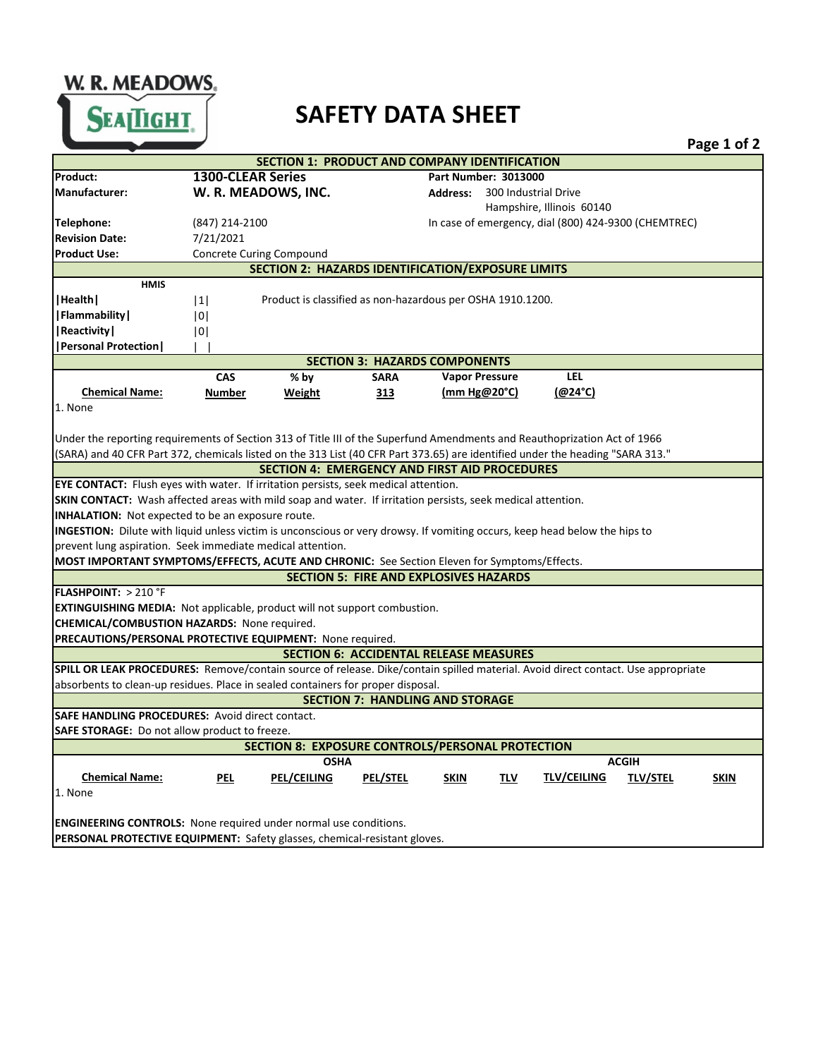W. R. MEADOWS SEATIGHT.

## **SAFETY DATA SHEET**

|                                                                                                                                  |                                                                                                                            |                                                      |                 |                             |                                                      |                 | Page 1 of 2 |
|----------------------------------------------------------------------------------------------------------------------------------|----------------------------------------------------------------------------------------------------------------------------|------------------------------------------------------|-----------------|-----------------------------|------------------------------------------------------|-----------------|-------------|
| <b>SECTION 1: PRODUCT AND COMPANY IDENTIFICATION</b>                                                                             |                                                                                                                            |                                                      |                 |                             |                                                      |                 |             |
| Product:                                                                                                                         | <b>1300-CLEAR Series</b>                                                                                                   |                                                      |                 | <b>Part Number: 3013000</b> |                                                      |                 |             |
| Manufacturer:                                                                                                                    |                                                                                                                            | W. R. MEADOWS, INC.                                  |                 | <b>Address:</b>             | 300 Industrial Drive                                 |                 |             |
|                                                                                                                                  |                                                                                                                            |                                                      |                 |                             | Hampshire, Illinois 60140                            |                 |             |
| Telephone:                                                                                                                       | (847) 214-2100                                                                                                             |                                                      |                 |                             | In case of emergency, dial (800) 424-9300 (CHEMTREC) |                 |             |
| <b>Revision Date:</b>                                                                                                            | 7/21/2021                                                                                                                  |                                                      |                 |                             |                                                      |                 |             |
| <b>Product Use:</b>                                                                                                              |                                                                                                                            | <b>Concrete Curing Compound</b>                      |                 |                             |                                                      |                 |             |
| SECTION 2: HAZARDS IDENTIFICATION/EXPOSURE LIMITS                                                                                |                                                                                                                            |                                                      |                 |                             |                                                      |                 |             |
| <b>HMIS</b>                                                                                                                      |                                                                                                                            |                                                      |                 |                             |                                                      |                 |             |
| Health                                                                                                                           | Product is classified as non-hazardous per OSHA 1910.1200.<br> 1                                                           |                                                      |                 |                             |                                                      |                 |             |
| <b> Flammability </b>                                                                                                            | 0                                                                                                                          |                                                      |                 |                             |                                                      |                 |             |
| Reactivity                                                                                                                       | 0                                                                                                                          |                                                      |                 |                             |                                                      |                 |             |
| <b> Personal Protection </b>                                                                                                     |                                                                                                                            |                                                      |                 |                             |                                                      |                 |             |
| <b>SECTION 3: HAZARDS COMPONENTS</b>                                                                                             |                                                                                                                            |                                                      |                 |                             |                                                      |                 |             |
|                                                                                                                                  | <b>CAS</b>                                                                                                                 | % by                                                 | <b>SARA</b>     | <b>Vapor Pressure</b>       | <b>LEL</b>                                           |                 |             |
| <b>Chemical Name:</b>                                                                                                            | <b>Number</b>                                                                                                              | Weight                                               | 313             | (mm Hg@20°C)                | (@24°C)                                              |                 |             |
| 1. None                                                                                                                          |                                                                                                                            |                                                      |                 |                             |                                                      |                 |             |
|                                                                                                                                  |                                                                                                                            |                                                      |                 |                             |                                                      |                 |             |
| Under the reporting requirements of Section 313 of Title III of the Superfund Amendments and Reauthoprization Act of 1966        |                                                                                                                            |                                                      |                 |                             |                                                      |                 |             |
| (SARA) and 40 CFR Part 372, chemicals listed on the 313 List (40 CFR Part 373.65) are identified under the heading "SARA 313."   |                                                                                                                            |                                                      |                 |                             |                                                      |                 |             |
|                                                                                                                                  |                                                                                                                            | <b>SECTION 4: EMERGENCY AND FIRST AID PROCEDURES</b> |                 |                             |                                                      |                 |             |
| EYE CONTACT: Flush eyes with water. If irritation persists, seek medical attention.                                              |                                                                                                                            |                                                      |                 |                             |                                                      |                 |             |
| SKIN CONTACT: Wash affected areas with mild soap and water. If irritation persists, seek medical attention.                      |                                                                                                                            |                                                      |                 |                             |                                                      |                 |             |
| INHALATION: Not expected to be an exposure route.                                                                                |                                                                                                                            |                                                      |                 |                             |                                                      |                 |             |
|                                                                                                                                  | INGESTION: Dilute with liquid unless victim is unconscious or very drowsy. If vomiting occurs, keep head below the hips to |                                                      |                 |                             |                                                      |                 |             |
| prevent lung aspiration. Seek immediate medical attention.                                                                       |                                                                                                                            |                                                      |                 |                             |                                                      |                 |             |
| MOST IMPORTANT SYMPTOMS/EFFECTS, ACUTE AND CHRONIC: See Section Eleven for Symptoms/Effects.                                     |                                                                                                                            |                                                      |                 |                             |                                                      |                 |             |
| <b>SECTION 5: FIRE AND EXPLOSIVES HAZARDS</b>                                                                                    |                                                                                                                            |                                                      |                 |                             |                                                      |                 |             |
| <b>FLASHPOINT: &gt; 210 °F</b>                                                                                                   |                                                                                                                            |                                                      |                 |                             |                                                      |                 |             |
| <b>EXTINGUISHING MEDIA:</b> Not applicable, product will not support combustion.                                                 |                                                                                                                            |                                                      |                 |                             |                                                      |                 |             |
| <b>CHEMICAL/COMBUSTION HAZARDS: None required.</b>                                                                               |                                                                                                                            |                                                      |                 |                             |                                                      |                 |             |
| PRECAUTIONS/PERSONAL PROTECTIVE EQUIPMENT: None required.                                                                        |                                                                                                                            |                                                      |                 |                             |                                                      |                 |             |
| <b>SECTION 6: ACCIDENTAL RELEASE MEASURES</b>                                                                                    |                                                                                                                            |                                                      |                 |                             |                                                      |                 |             |
| SPILL OR LEAK PROCEDURES: Remove/contain source of release. Dike/contain spilled material. Avoid direct contact. Use appropriate |                                                                                                                            |                                                      |                 |                             |                                                      |                 |             |
| absorbents to clean-up residues. Place in sealed containers for proper disposal.<br><b>SECTION 7: HANDLING AND STORAGE</b>       |                                                                                                                            |                                                      |                 |                             |                                                      |                 |             |
| <b>SAFE HANDLING PROCEDURES: Avoid direct contact.</b>                                                                           |                                                                                                                            |                                                      |                 |                             |                                                      |                 |             |
|                                                                                                                                  |                                                                                                                            |                                                      |                 |                             |                                                      |                 |             |
| SAFE STORAGE: Do not allow product to freeze.<br>SECTION 8: EXPOSURE CONTROLS/PERSONAL PROTECTION                                |                                                                                                                            |                                                      |                 |                             |                                                      |                 |             |
| <b>ACGIH</b><br><b>OSHA</b>                                                                                                      |                                                                                                                            |                                                      |                 |                             |                                                      |                 |             |
| <b>Chemical Name:</b>                                                                                                            | PEL                                                                                                                        | <b>PEL/CEILING</b>                                   | <b>PEL/STEL</b> | <b>SKIN</b><br><u>TLV</u>   | <b>TLV/CEILING</b>                                   | <b>TLV/STEL</b> | <b>SKIN</b> |
| 1. None                                                                                                                          |                                                                                                                            |                                                      |                 |                             |                                                      |                 |             |
|                                                                                                                                  |                                                                                                                            |                                                      |                 |                             |                                                      |                 |             |
|                                                                                                                                  | <b>ENGINEERING CONTROLS:</b> None required under normal use conditions.                                                    |                                                      |                 |                             |                                                      |                 |             |
|                                                                                                                                  |                                                                                                                            |                                                      |                 |                             |                                                      |                 |             |
| PERSONAL PROTECTIVE EQUIPMENT: Safety glasses, chemical-resistant gloves.                                                        |                                                                                                                            |                                                      |                 |                             |                                                      |                 |             |